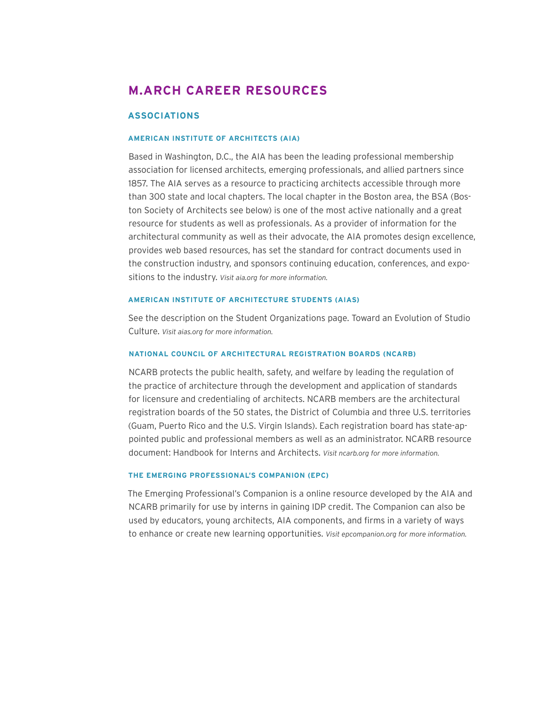# **M.ARCH CAREER RESOURCES**

# **ASSOCIATIONS**

# **AMERICAN INSTITUTE OF ARCHITECTS (AIA)**

Based in Washington, D.C., the AIA has been the leading professional membership association for licensed architects, emerging professionals, and allied partners since 1857. The AIA serves as a resource to practicing architects accessible through more than 300 state and local chapters. The local chapter in the Boston area, the BSA (Boston Society of Architects see below) is one of the most active nationally and a great resource for students as well as professionals. As a provider of information for the architectural community as well as their advocate, the AIA promotes design excellence, provides web based resources, has set the standard for contract documents used in the construction industry, and sponsors continuing education, conferences, and expositions to the industry. *Visit aia.org for more information.* 

# **AMERICAN INSTITUTE OF ARCHITECTURE STUDENTS (AIAS)**

See the description on the Student Organizations page. Toward an Evolution of Studio Culture. *Visit aias.org for more information.* 

# **NATIONAL COUNCIL OF ARCHITECTURAL REGISTRATION BOARDS (NCARB)**

NCARB protects the public health, safety, and welfare by leading the regulation of the practice of architecture through the development and application of standards for licensure and credentialing of architects. NCARB members are the architectural registration boards of the 50 states, the District of Columbia and three U.S. territories (Guam, Puerto Rico and the U.S. Virgin Islands). Each registration board has state-appointed public and professional members as well as an administrator. NCARB resource document: Handbook for Interns and Architects. *Visit ncarb.org for more information.* 

#### **THE EMERGING PROFESSIONAL'S COMPANION (EPC)**

The Emerging Professional's Companion is a online resource developed by the AIA and NCARB primarily for use by interns in gaining IDP credit. The Companion can also be used by educators, young architects, AIA components, and firms in a variety of ways to enhance or create new learning opportunities. *Visit epcompanion.org for more information.*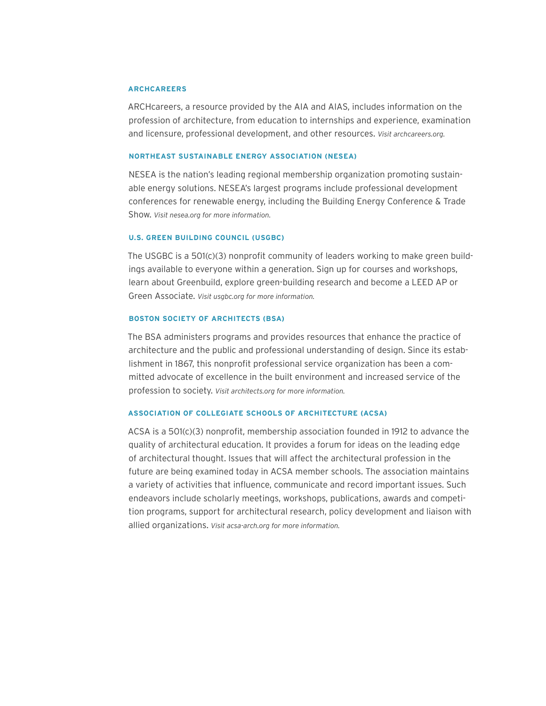#### **ARCHCAREERS**

ARCHcareers, a resource provided by the AIA and AIAS, includes information on the profession of architecture, from education to internships and experience, examination and licensure, professional development, and other resources. *Visit archcareers.org.*

# **NORTHEAST SUSTAINABLE ENERGY ASSOCIATION (NESEA)**

NESEA is the nation's leading regional membership organization promoting sustainable energy solutions. NESEA's largest programs include professional development conferences for renewable energy, including the Building Energy Conference & Trade Show. *Visit nesea.org for more information.* 

#### **U.S. GREEN BUILDING COUNCIL (USGBC)**

The USGBC is a 501(c)(3) nonprofit community of leaders working to make green buildings available to everyone within a generation. Sign up for courses and workshops, learn about Greenbuild, explore green-building research and become a LEED AP or Green Associate. *Visit usgbc.org for more information.*

# **BOSTON SOCIETY OF ARCHITECTS (BSA)**

The BSA administers programs and provides resources that enhance the practice of architecture and the public and professional understanding of design. Since its establishment in 1867, this nonprofit professional service organization has been a committed advocate of excellence in the built environment and increased service of the profession to society. *Visit architects.org for more information.* 

# **ASSOCIATION OF COLLEGIATE SCHOOLS OF ARCHITECTURE (ACSA)**

ACSA is a 501(c)(3) nonprofit, membership association founded in 1912 to advance the quality of architectural education. It provides a forum for ideas on the leading edge of architectural thought. Issues that will affect the architectural profession in the future are being examined today in ACSA member schools. The association maintains a variety of activities that influence, communicate and record important issues. Such endeavors include scholarly meetings, workshops, publications, awards and competition programs, support for architectural research, policy development and liaison with allied organizations. *Visit acsa-arch.org for more information.*